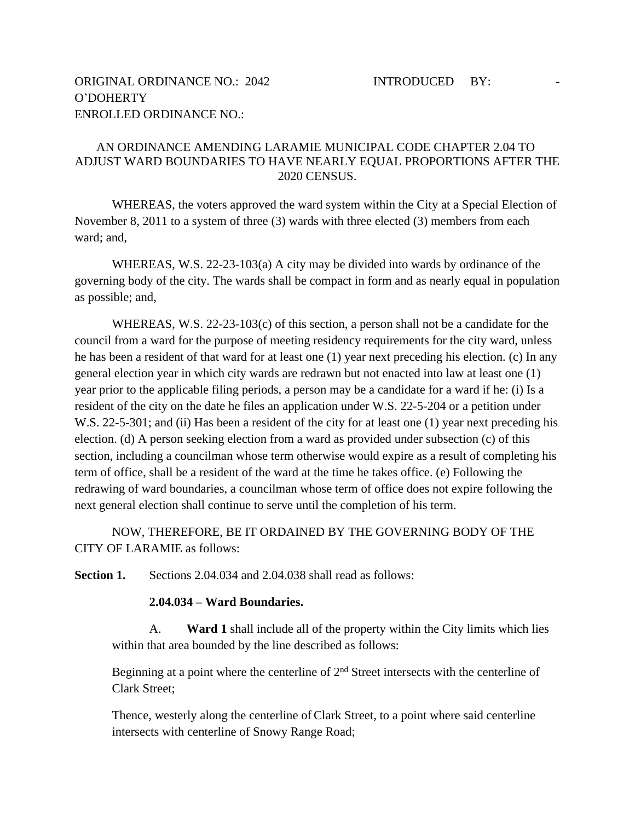## AN ORDINANCE AMENDING LARAMIE MUNICIPAL CODE CHAPTER 2.04 TO ADJUST WARD BOUNDARIES TO HAVE NEARLY EQUAL PROPORTIONS AFTER THE 2020 CENSUS.

WHEREAS, the voters approved the ward system within the City at a Special Election of November 8, 2011 to a system of three (3) wards with three elected (3) members from each ward; and,

WHEREAS, W.S. 22-23-103(a) A city may be divided into wards by ordinance of the governing body of the city. The wards shall be compact in form and as nearly equal in population as possible; and,

WHEREAS, W.S. 22-23-103(c) of this section, a person shall not be a candidate for the council from a ward for the purpose of meeting residency requirements for the city ward, unless he has been a resident of that ward for at least one (1) year next preceding his election. (c) In any general election year in which city wards are redrawn but not enacted into law at least one (1) year prior to the applicable filing periods, a person may be a candidate for a ward if he: (i) Is a resident of the city on the date he files an application under W.S. 22-5-204 or a petition under W.S. 22-5-301; and (ii) Has been a resident of the city for at least one (1) year next preceding his election. (d) A person seeking election from a ward as provided under subsection (c) of this section, including a councilman whose term otherwise would expire as a result of completing his term of office, shall be a resident of the ward at the time he takes office. (e) Following the redrawing of ward boundaries, a councilman whose term of office does not expire following the next general election shall continue to serve until the completion of his term.

NOW, THEREFORE, BE IT ORDAINED BY THE GOVERNING BODY OF THE CITY OF LARAMIE as follows:

**Section 1.** Sections 2.04.034 and 2.04.038 shall read as follows:

## **2.04.034 – Ward Boundaries.**

A. **Ward 1** shall include all of the property within the City limits which lies within that area bounded by the line described as follows:

Beginning at a point where the centerline of 2<sup>nd</sup> Street intersects with the centerline of Clark Street;

Thence, westerly along the centerline of Clark Street, to a point where said centerline intersects with centerline of Snowy Range Road;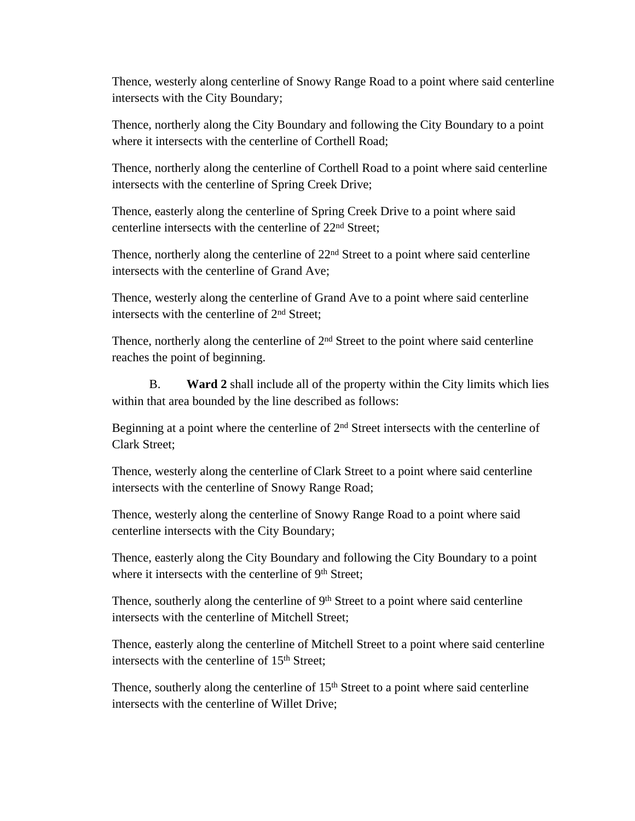Thence, westerly along centerline of Snowy Range Road to a point where said centerline intersects with the City Boundary;

Thence, northerly along the City Boundary and following the City Boundary to a point where it intersects with the centerline of Corthell Road;

Thence, northerly along the centerline of Corthell Road to a point where said centerline intersects with the centerline of Spring Creek Drive;

Thence, easterly along the centerline of Spring Creek Drive to a point where said centerline intersects with the centerline of 22nd Street;

Thence, northerly along the centerline of  $22<sup>nd</sup>$  Street to a point where said centerline intersects with the centerline of Grand Ave;

Thence, westerly along the centerline of Grand Ave to a point where said centerline intersects with the centerline of 2<sup>nd</sup> Street;

Thence, northerly along the centerline of 2<sup>nd</sup> Street to the point where said centerline reaches the point of beginning.

B. **Ward 2** shall include all of the property within the City limits which lies within that area bounded by the line described as follows:

Beginning at a point where the centerline of  $2<sup>nd</sup>$  Street intersects with the centerline of Clark Street;

Thence, westerly along the centerline of Clark Street to a point where said centerline intersects with the centerline of Snowy Range Road;

Thence, westerly along the centerline of Snowy Range Road to a point where said centerline intersects with the City Boundary;

Thence, easterly along the City Boundary and following the City Boundary to a point where it intersects with the centerline of 9<sup>th</sup> Street;

Thence, southerly along the centerline of 9<sup>th</sup> Street to a point where said centerline intersects with the centerline of Mitchell Street;

Thence, easterly along the centerline of Mitchell Street to a point where said centerline intersects with the centerline of 15<sup>th</sup> Street;

Thence, southerly along the centerline of  $15<sup>th</sup>$  Street to a point where said centerline intersects with the centerline of Willet Drive;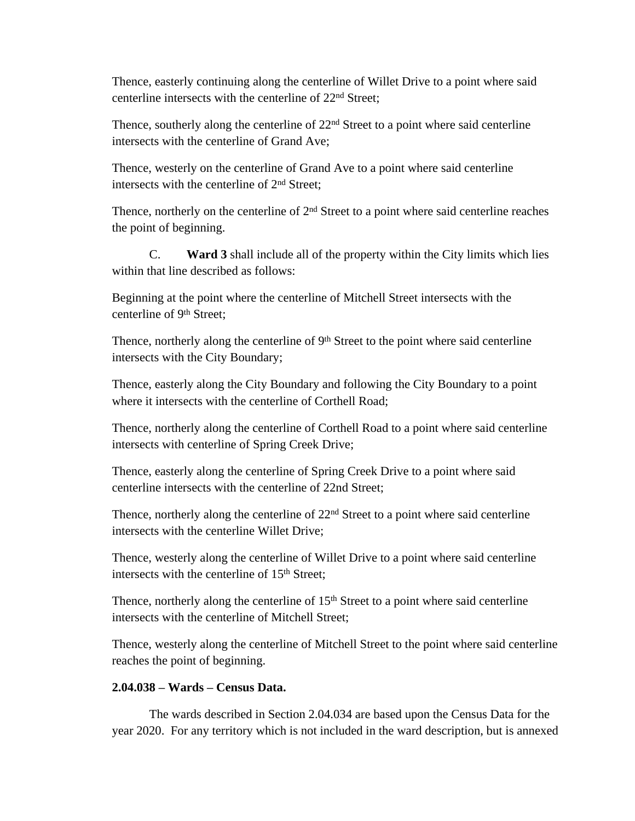Thence, easterly continuing along the centerline of Willet Drive to a point where said centerline intersects with the centerline of 22nd Street;

Thence, southerly along the centerline of 22<sup>nd</sup> Street to a point where said centerline intersects with the centerline of Grand Ave;

Thence, westerly on the centerline of Grand Ave to a point where said centerline intersects with the centerline of 2nd Street;

Thence, northerly on the centerline of  $2<sup>nd</sup>$  Street to a point where said centerline reaches the point of beginning.

C. **Ward 3** shall include all of the property within the City limits which lies within that line described as follows:

Beginning at the point where the centerline of Mitchell Street intersects with the centerline of 9th Street;

Thence, northerly along the centerline of 9<sup>th</sup> Street to the point where said centerline intersects with the City Boundary;

Thence, easterly along the City Boundary and following the City Boundary to a point where it intersects with the centerline of Corthell Road;

Thence, northerly along the centerline of Corthell Road to a point where said centerline intersects with centerline of Spring Creek Drive;

Thence, easterly along the centerline of Spring Creek Drive to a point where said centerline intersects with the centerline of 22nd Street;

Thence, northerly along the centerline of  $22<sup>nd</sup>$  Street to a point where said centerline intersects with the centerline Willet Drive;

Thence, westerly along the centerline of Willet Drive to a point where said centerline intersects with the centerline of 15<sup>th</sup> Street;

Thence, northerly along the centerline of 15<sup>th</sup> Street to a point where said centerline intersects with the centerline of Mitchell Street;

Thence, westerly along the centerline of Mitchell Street to the point where said centerline reaches the point of beginning.

## **2.04.038 – Wards – Census Data.**

The wards described in Section 2.04.034 are based upon the Census Data for the year 2020. For any territory which is not included in the ward description, but is annexed